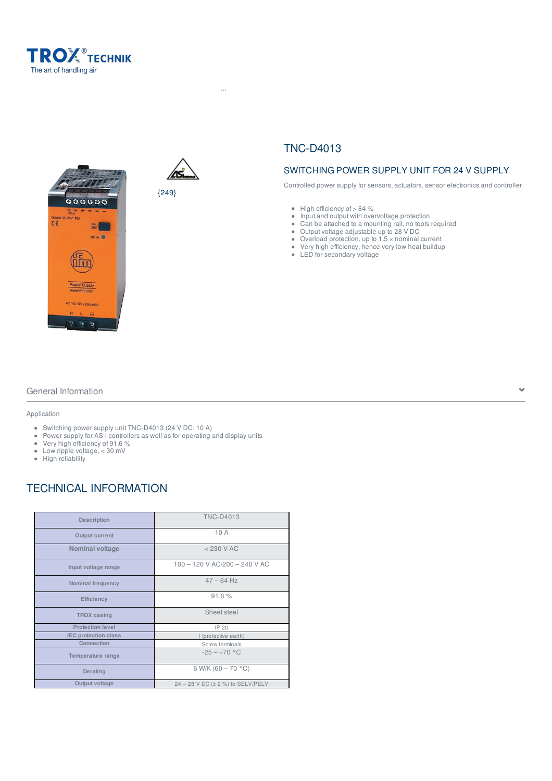





{249}

# TNC-D4013

 $H^2$  -Products  $\mathcal{F}^2$  and  $\mathcal{F}^2$  -Protection ...  $\mathcal{F}^2$  -Troxinetic  $\mathcal{F}^2$  -Switching power supply units  $\mathcal{F}^2$  -Troxinetic  $\mathcal{F}^2$  -Troxinetic power supply units  $\mathcal{F}^2$  -Troxinetic power suppl

### SWITCHING POWER SUPPLY UNIT FOR 24 V SUPPLY

Controlled power supply for sensors, actuators, sensor electronics and controller

- $\bullet$  High efficiency of  $> 84 \%$
- Input and output with overvoltage protection
- $\bullet$ Can be attached to a mounting rail, no tools required
- Output voltage adjustable up to 28 V DC
- Overload protection, up to  $1.5 \times$  nominal current
- Very high efficiency, hence very low heat buildup
- LED for secondary voltage

### General Information

#### Application

- Switching power supply unit TNC-D4013 (24 V DC; 10 A)
- Power supply for AS-i controllers as well as for operating and display units
- Very high efficiency of 91.6 %
- Low ripple voltage, < 30 mV
- High reliability

## TECHNICAL INFORMATION

| <b>Description</b>          | <b>TNC-D4013</b>                  |
|-----------------------------|-----------------------------------|
| Output current              | 10 A                              |
| <b>Nominal voltage</b>      | $<$ 230 V AC                      |
| Input voltage range         | 100 - 120 V AC/200 - 240 V AC     |
| Nominal frequency           | $47 - 64$ Hz                      |
| <b>Efficiency</b>           | 91.6%                             |
| <b>TROX</b> casing          | Sheet steel                       |
| <b>Protection level</b>     | IP 20                             |
| <b>IEC protection class</b> | I (protective earth)              |
| Connection                  | Screw terminals                   |
| Temperature range           | $-25 - +70$ °C                    |
| Derating                    | 6 W/K (60 $-70$ °C)               |
| Output voltage              | 24 - 28 V DC (± 2 %) to SELV/PELV |